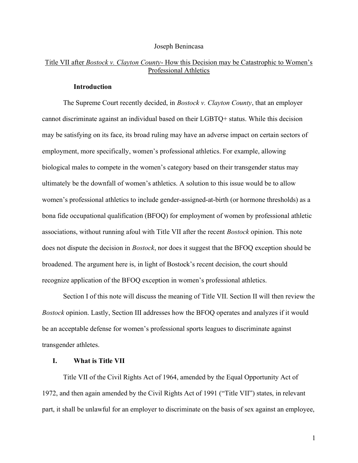#### Joseph Benincasa

### Title VII after *Bostock v. Clayton County*- How this Decision may be Catastrophic to Women's Professional Athletics

#### Introduction

The Supreme Court recently decided, in *Bostock v. Clayton County*, that an employer cannot discriminate against an individual based on their LGBTQ+ status. While this decision may be satisfying on its face, its broad ruling may have an adverse impact on certain sectors of employment, more specifically, women's professional athletics. For example, allowing biological males to compete in the women's category based on their transgender status may ultimately be the downfall of women's athletics. A solution to this issue would be to allow women's professional athletics to include gender-assigned-at-birth (or hormone thresholds) as a bona fide occupational qualification (BFOQ) for employment of women by professional athletic associations, without running afoul with Title VII after the recent Bostock opinion. This note does not dispute the decision in *Bostock*, nor does it suggest that the BFOQ exception should be broadened. The argument here is, in light of Bostock's recent decision, the court should recognize application of the BFOQ exception in women's professional athletics.

Section I of this note will discuss the meaning of Title VII. Section II will then review the Bostock opinion. Lastly, Section III addresses how the BFOQ operates and analyzes if it would be an acceptable defense for women's professional sports leagues to discriminate against transgender athletes.

#### I. What is Title VII

Title VII of the Civil Rights Act of 1964, amended by the Equal Opportunity Act of 1972, and then again amended by the Civil Rights Act of 1991 ("Title VII") states, in relevant part, it shall be unlawful for an employer to discriminate on the basis of sex against an employee,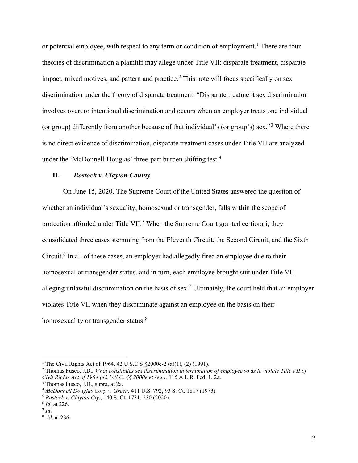or potential employee, with respect to any term or condition of employment.<sup>1</sup> There are four theories of discrimination a plaintiff may allege under Title VII: disparate treatment, disparate impact, mixed motives, and pattern and practice. $2$  This note will focus specifically on sex discrimination under the theory of disparate treatment. "Disparate treatment sex discrimination involves overt or intentional discrimination and occurs when an employer treats one individual (or group) differently from another because of that individual's (or group's) sex."<sup>3</sup> Where there is no direct evidence of discrimination, disparate treatment cases under Title VII are analyzed under the 'McDonnell-Douglas' three-part burden shifting test.<sup>4</sup>

#### II. Bostock v. Clayton County

On June 15, 2020, The Supreme Court of the United States answered the question of whether an individual's sexuality, homosexual or transgender, falls within the scope of protection afforded under Title VII.<sup>5</sup> When the Supreme Court granted certiorari, they consolidated three cases stemming from the Eleventh Circuit, the Second Circuit, and the Sixth Circuit.<sup>6</sup> In all of these cases, an employer had allegedly fired an employee due to their homosexual or transgender status, and in turn, each employee brought suit under Title VII alleging unlawful discrimination on the basis of sex.<sup>7</sup> Ultimately, the court held that an employer violates Title VII when they discriminate against an employee on the basis on their homosexuality or transgender status.<sup>8</sup>

<sup>&</sup>lt;sup>1</sup> The Civil Rights Act of 1964, 42 U.S.C.S §2000e-2 (a)(1), (2) (1991).

<sup>&</sup>lt;sup>2</sup> Thomas Fusco, J.D., *What constitutes sex discrimination in termination of employee so as to violate Title VII of* Civil Rights Act of 1964 (42 U.S.C. §§ 2000e et seq.), 115 A.L.R. Fed. 1, 2a.

<sup>3</sup> Thomas Fusco, J.D., supra, at 2a.

<sup>4</sup> McDonnell Douglas Corp v. Green, 411 U.S. 792, 93 S. Ct. 1817 (1973).

<sup>5</sup> Bostock v. Clayton Cty., 140 S. Ct. 1731, 230 (2020).

<sup>&</sup>lt;sup>6</sup> *Id.* at 226.

 $^7$  Id.

<sup>&</sup>lt;sup>8</sup> *Id.* at 236.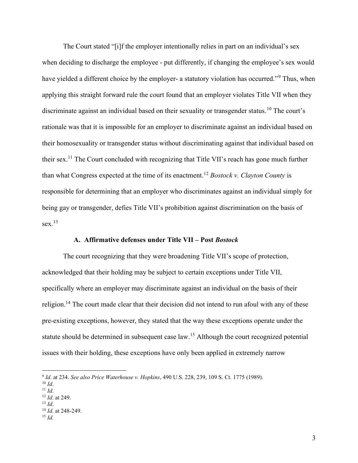The Court stated "[i]f the employer intentionally relies in part on an individual's sex when deciding to discharge the employee - put differently, if changing the employee's sex would have yielded a different choice by the employer- a statutory violation has occurred."<sup>9</sup> Thus, when applying this straight forward rule the court found that an employer violates Title VII when they discriminate against an individual based on their sexuality or transgender status.<sup>10</sup> The court's rationale was that it is impossible for an employer to discriminate against an individual based on their homosexuality or transgender status without discriminating against that individual based on their sex.<sup>11</sup> The Court concluded with recognizing that Title VII's reach has gone much further than what Congress expected at the time of its enactment.<sup>12</sup> Bostock v. Clayton County is responsible for determining that an employer who discriminates against an individual simply for being gay or transgender, defies Title VII's prohibition against discrimination on the basis of sex. $^{13}$ 

#### A. Affirmative defenses under Title VII – Post Bostock

The court recognizing that they were broadening Title VII's scope of protection, acknowledged that their holding may be subject to certain exceptions under Title VII, specifically where an employer may discriminate against an individual on the basis of their religion.<sup>14</sup> The court made clear that their decision did not intend to run afoul with any of these pre-existing exceptions, however, they stated that the way these exceptions operate under the statute should be determined in subsequent case law.<sup>15</sup> Although the court recognized potential issues with their holding, these exceptions have only been applied in extremely narrow

<sup>9</sup> Id. at 234. See also Price Waterhouse v. Hopkins, 490 U.S. 228, 239, 109 S. Ct. 1775 (1989).

 $10 \text{ Id.}$ 

 $11$  *Id.* 

<sup>&</sup>lt;sup>12</sup> *Id.* at 249.  $13$  *Id.* 

 $14$  *Id.* at 248-249.

 $15$  Id.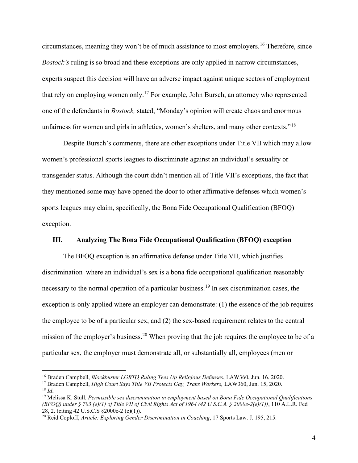circumstances, meaning they won't be of much assistance to most employers.<sup>16</sup> Therefore, since Bostock's ruling is so broad and these exceptions are only applied in narrow circumstances, experts suspect this decision will have an adverse impact against unique sectors of employment that rely on employing women only.<sup>17</sup> For example, John Bursch, an attorney who represented one of the defendants in Bostock, stated, "Monday's opinion will create chaos and enormous unfairness for women and girls in athletics, women's shelters, and many other contexts."<sup>18</sup>

Despite Bursch's comments, there are other exceptions under Title VII which may allow women's professional sports leagues to discriminate against an individual's sexuality or transgender status. Although the court didn't mention all of Title VII's exceptions, the fact that they mentioned some may have opened the door to other affirmative defenses which women's sports leagues may claim, specifically, the Bona Fide Occupational Qualification (BFOQ) exception.

#### III. Analyzing The Bona Fide Occupational Qualification (BFOQ) exception

The BFOQ exception is an affirmative defense under Title VII, which justifies discrimination where an individual's sex is a bona fide occupational qualification reasonably necessary to the normal operation of a particular business.<sup>19</sup> In sex discrimination cases, the exception is only applied where an employer can demonstrate: (1) the essence of the job requires the employee to be of a particular sex, and (2) the sex-based requirement relates to the central mission of the employer's business.<sup>20</sup> When proving that the job requires the employee to be of a particular sex, the employer must demonstrate all, or substantially all, employees (men or

<sup>&</sup>lt;sup>16</sup> Braden Campbell, *Blockbuster LGBTO Ruling Tees Up Religious Defenses*, LAW360, Jun. 16, 2020.

<sup>&</sup>lt;sup>17</sup> Braden Campbell, *High Court Says Title VII Protects Gay, Trans Workers*, LAW360, Jun. 15, 2020.  $^{18}$  *Id.* 

<sup>&</sup>lt;sup>19</sup> Melissa K. Stull, Permissible sex discrimination in employment based on Bona Fide Occupational Qualifications (BFOO) under  $\S$  703 (e)(1) of Title VII of Civil Rights Act of 1964 (42 U.S.C.A.  $\S$  2000e-2(e)(1)), 110 A.L.R. Fed 28, 2. (citing 42 U.S.C.S §2000e-2 (e)(1)).

<sup>&</sup>lt;sup>20</sup> Reid Coploff, Article: Exploring Gender Discrimination in Coaching, 17 Sports Law. J. 195, 215.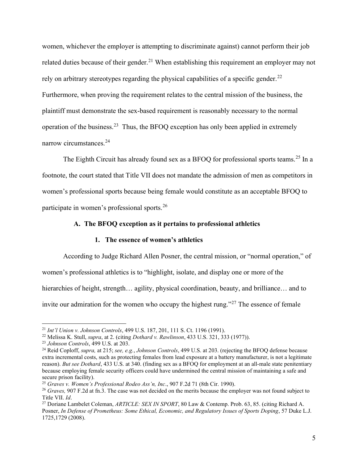women, whichever the employer is attempting to discriminate against) cannot perform their job related duties because of their gender.<sup>21</sup> When establishing this requirement an employer may not rely on arbitrary stereotypes regarding the physical capabilities of a specific gender.<sup>22</sup> Furthermore, when proving the requirement relates to the central mission of the business, the plaintiff must demonstrate the sex-based requirement is reasonably necessary to the normal operation of the business.<sup>23</sup> Thus, the BFOQ exception has only been applied in extremely narrow circumstances.<sup>24</sup>

The Eighth Circuit has already found sex as a BFOQ for professional sports teams.<sup>25</sup> In a footnote, the court stated that Title VII does not mandate the admission of men as competitors in women's professional sports because being female would constitute as an acceptable BFOQ to participate in women's professional sports.<sup>26</sup>

#### A. The BFOQ exception as it pertains to professional athletics

#### 1. The essence of women's athletics

According to Judge Richard Allen Posner, the central mission, or "normal operation," of women's professional athletics is to "highlight, isolate, and display one or more of the hierarchies of height, strength... agility, physical coordination, beauty, and brilliance... and to invite our admiration for the women who occupy the highest rung."<sup>27</sup> The essence of female

<sup>21</sup> Int'l Union v. Johnson Controls, 499 U.S. 187, 201, 111 S. Ct. 1196 (1991).

<sup>&</sup>lt;sup>22</sup> Melissa K. Stull, *supra*, at 2. (citing *Dothard v. Rawlinson*, 433 U.S. 321, 333 (1977)).

<sup>&</sup>lt;sup>23</sup> Johnson Controls, 499 U.S. at 203.

<sup>&</sup>lt;sup>24</sup> Reid Coploff, *supra*, at 215; *see, e.g., Johnson Controls*, 499 U.S. at 203. (rejecting the BFOQ defense because extra incremental costs, such as protecting females from lead exposure at a battery manufacturer, is not a legitimate reason). But see Dothard, 433 U.S. at 340. (finding sex as a BFOQ for employment at an all-male state penitentiary because employing female security officers could have undermined the central mission of maintaining a safe and secure prison facility).

<sup>&</sup>lt;sup>25</sup> Graves v. Women's Professional Rodeo Ass'n, Inc., 907 F.2d 71 (8th Cir. 1990).

 $^{26}$  Graves, 907 F.2d at fn.3. The case was not decided on the merits because the employer was not found subject to Title VII. Id.

<sup>&</sup>lt;sup>27</sup> Doriane Lambelet Coleman, ARTICLE: SEX IN SPORT, 80 Law & Contemp. Prob. 63, 85. (citing Richard A. Posner, In Defense of Prometheus: Some Ethical, Economic, and Regulatory Issues of Sports Doping, 57 Duke L.J. 1725,1729 (2008).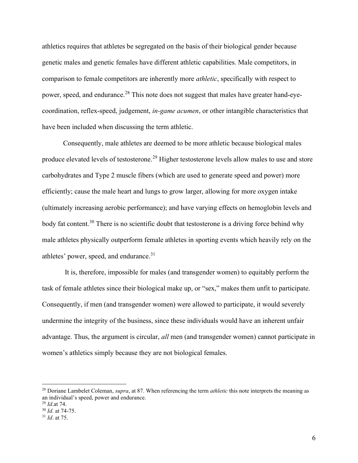athletics requires that athletes be segregated on the basis of their biological gender because genetic males and genetic females have different athletic capabilities. Male competitors, in comparison to female competitors are inherently more athletic, specifically with respect to power, speed, and endurance.<sup>28</sup> This note does not suggest that males have greater hand-eyecoordination, reflex-speed, judgement, in-game acumen, or other intangible characteristics that have been included when discussing the term athletic.

Consequently, male athletes are deemed to be more athletic because biological males produce elevated levels of testosterone.<sup>29</sup> Higher testosterone levels allow males to use and store carbohydrates and Type 2 muscle fibers (which are used to generate speed and power) more efficiently; cause the male heart and lungs to grow larger, allowing for more oxygen intake (ultimately increasing aerobic performance); and have varying effects on hemoglobin levels and body fat content.<sup>30</sup> There is no scientific doubt that testosterone is a driving force behind why male athletes physically outperform female athletes in sporting events which heavily rely on the athletes' power, speed, and endurance.<sup>31</sup>

 It is, therefore, impossible for males (and transgender women) to equitably perform the task of female athletes since their biological make up, or "sex," makes them unfit to participate. Consequently, if men (and transgender women) were allowed to participate, it would severely undermine the integrity of the business, since these individuals would have an inherent unfair advantage. Thus, the argument is circular, all men (and transgender women) cannot participate in women's athletics simply because they are not biological females.

<sup>&</sup>lt;sup>28</sup> Doriane Lambelet Coleman, *supra*, at 87. When referencing the term *athletic* this note interprets the meaning as an individual's speed, power and endurance.

 $^{29}$  *Id.*at 74.

<sup>&</sup>lt;sup>30</sup> *Id.* at 74-75.

 $31$  *Id.* at 75.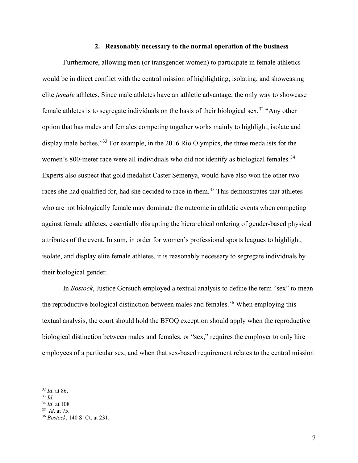#### 2. Reasonably necessary to the normal operation of the business

Furthermore, allowing men (or transgender women) to participate in female athletics would be in direct conflict with the central mission of highlighting, isolating, and showcasing elite female athletes. Since male athletes have an athletic advantage, the only way to showcase female athletes is to segregate individuals on the basis of their biological sex.<sup>32</sup> "Any other option that has males and females competing together works mainly to highlight, isolate and display male bodies."<sup>33</sup> For example, in the 2016 Rio Olympics, the three medalists for the women's 800-meter race were all individuals who did not identify as biological females.<sup>34</sup> Experts also suspect that gold medalist Caster Semenya, would have also won the other two races she had qualified for, had she decided to race in them.<sup>35</sup> This demonstrates that athletes who are not biologically female may dominate the outcome in athletic events when competing against female athletes, essentially disrupting the hierarchical ordering of gender-based physical attributes of the event. In sum, in order for women's professional sports leagues to highlight, isolate, and display elite female athletes, it is reasonably necessary to segregate individuals by their biological gender.

In Bostock, Justice Gorsuch employed a textual analysis to define the term "sex" to mean the reproductive biological distinction between males and females.<sup>36</sup> When employing this textual analysis, the court should hold the BFOQ exception should apply when the reproductive biological distinction between males and females, or "sex," requires the employer to only hire employees of a particular sex, and when that sex-based requirement relates to the central mission

 $32$  *Id.* at 86.

 $33$  Id.

 $34$  *Id.* at 108

 $35$  *Id.* at 75.

<sup>36</sup> Bostock, 140 S. Ct. at 231.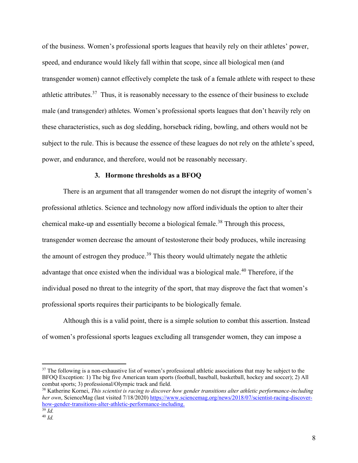of the business. Women's professional sports leagues that heavily rely on their athletes' power, speed, and endurance would likely fall within that scope, since all biological men (and transgender women) cannot effectively complete the task of a female athlete with respect to these athletic attributes.<sup>37</sup> Thus, it is reasonably necessary to the essence of their business to exclude male (and transgender) athletes. Women's professional sports leagues that don't heavily rely on these characteristics, such as dog sledding, horseback riding, bowling, and others would not be subject to the rule. This is because the essence of these leagues do not rely on the athlete's speed, power, and endurance, and therefore, would not be reasonably necessary.

#### 3. Hormone thresholds as a BFOQ

There is an argument that all transgender women do not disrupt the integrity of women's professional athletics. Science and technology now afford individuals the option to alter their chemical make-up and essentially become a biological female.<sup>38</sup> Through this process, transgender women decrease the amount of testosterone their body produces, while increasing the amount of estrogen they produce.<sup>39</sup> This theory would ultimately negate the athletic advantage that once existed when the individual was a biological male.<sup>40</sup> Therefore, if the individual posed no threat to the integrity of the sport, that may disprove the fact that women's professional sports requires their participants to be biologically female.

Although this is a valid point, there is a simple solution to combat this assertion. Instead of women's professional sports leagues excluding all transgender women, they can impose a

 $37$  The following is a non-exhaustive list of women's professional athletic associations that may be subject to the BFOQ Exception: 1) The big five American team sports (football, baseball, basketball, hockey and soccer); 2) All combat sports; 3) professional/Olympic track and field.

 $38$  Katherine Kornei, This scientist is racing to discover how gender transitions alter athletic performance-including her own, ScienceMag (last visited 7/18/2020) https://www.sciencemag.org/news/2018/07/scientist-racing-discoverhow-gender-transitions-alter-athletic-performance-including.

 $\overline{\frac{39}{}}$  Id.  $40$  Id.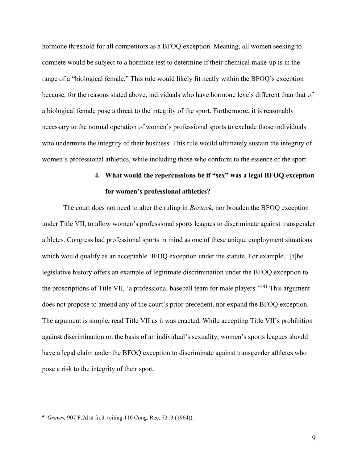hormone threshold for all competitors as a BFOQ exception. Meaning, all women seeking to compete would be subject to a hormone test to determine if their chemical make-up is in the range of a "biological female." This rule would likely fit neatly within the BFOQ's exception because, for the reasons stated above, individuals who have hormone levels different than that of a biological female pose a threat to the integrity of the sport. Furthermore, it is reasonably necessary to the normal operation of women's professional sports to exclude those individuals who undermine the integrity of their business. This rule would ultimately sustain the integrity of women's professional athletics, while including those who conform to the essence of the sport.

# 4. What would the repercussions be if "sex" was a legal BFOQ exception for women's professional athletics?

The court does not need to alter the ruling in *Bostock*, nor broaden the BFOQ exception under Title VII, to allow women's professional sports leagues to discriminate against transgender athletes. Congress had professional sports in mind as one of these unique employment situations which would qualify as an acceptable BFOQ exception under the statute. For example, "[t]he legislative history offers an example of legitimate discrimination under the BFOQ exception to the proscriptions of Title VII, 'a professional baseball team for male players.'<sup>141</sup> This argument does not propose to amend any of the court's prior precedent, nor expand the BFOQ exception. The argument is simple, read Title VII as it was enacted. While accepting Title VII's prohibition against discrimination on the basis of an individual's sexuality, women's sports leagues should have a legal claim under the BFOQ exception to discriminate against transgender athletes who pose a risk to the integrity of their sport.

<sup>41</sup> Graves, 907 F.2d at fn.3. (citing 110 Cong. Rec. 7213 (1964)).